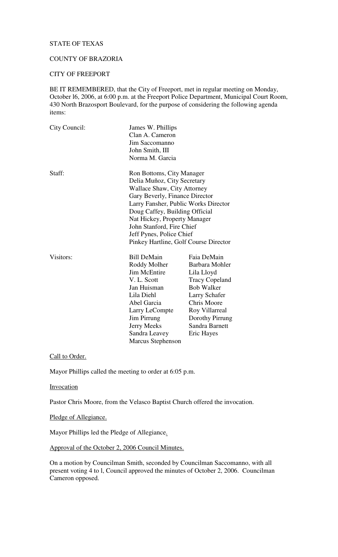# STATE OF TEXAS

# COUNTY OF BRAZORIA

#### CITY OF FREEPORT

BE IT REMEMBERED, that the City of Freeport, met in regular meeting on Monday, October l6, 2006, at 6:00 p.m. at the Freeport Police Department, Municipal Court Room, 430 North Brazosport Boulevard, for the purpose of considering the following agenda items:

| City Council: | James W. Phillips<br>Clan A. Cameron<br>Jim Saccomanno<br>John Smith, III<br>Norma M. Garcia                                                                                                                                                                                                                                                 |                                                                                                                                                                                                |  |
|---------------|----------------------------------------------------------------------------------------------------------------------------------------------------------------------------------------------------------------------------------------------------------------------------------------------------------------------------------------------|------------------------------------------------------------------------------------------------------------------------------------------------------------------------------------------------|--|
| Staff:        | Ron Bottoms, City Manager<br>Delia Muñoz, City Secretary<br><b>Wallace Shaw, City Attorney</b><br>Gary Beverly, Finance Director<br>Larry Fansher, Public Works Director<br>Doug Caffey, Building Official<br>Nat Hickey, Property Manager<br>John Stanford, Fire Chief<br>Jeff Pynes, Police Chief<br>Pinkey Hartline, Golf Course Director |                                                                                                                                                                                                |  |
| Visitors:     | <b>Bill DeMain</b><br>Roddy Molher<br><b>Jim McEntire</b><br>V. L. Scott<br>Jan Huisman<br>Lila Diehl<br>Abel Garcia<br>Larry LeCompte<br>Jim Pirrung<br>Jerry Meeks<br>Sandra Leavey<br><b>Marcus Stephenson</b>                                                                                                                            | Faia DeMain<br>Barbara Mohler<br>Lila Lloyd<br><b>Tracy Copeland</b><br><b>Bob Walker</b><br>Larry Schafer<br>Chris Moore<br>Roy Villarreal<br>Dorothy Pirrung<br>Sandra Barnett<br>Eric Hayes |  |

Call to Order.

Mayor Phillips called the meeting to order at 6:05 p.m.

#### **Invocation**

Pastor Chris Moore, from the Velasco Baptist Church offered the invocation.

Pledge of Allegiance.

Mayor Phillips led the Pledge of Allegiance.

Approval of the October 2, 2006 Council Minutes.

On a motion by Councilman Smith, seconded by Councilman Saccomanno, with all present voting 4 to l, Council approved the minutes of October 2, 2006. Councilman Cameron opposed.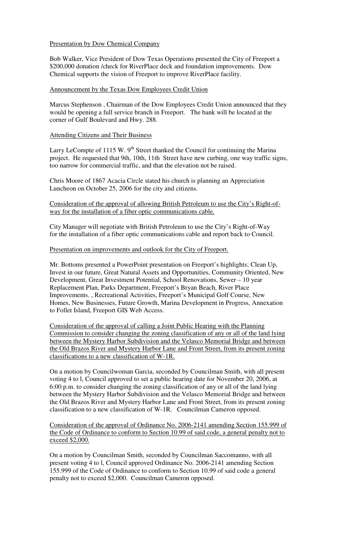# Presentation by Dow Chemical Company

Bob Walker, Vice President of Dow Texas Operations presented the City of Freeport a \$200,000 donation /check for RiverPlace deck and foundation improvements. Dow Chemical supports the vision of Freeport to improve RiverPlace facility.

# Announcement by the Texas Dow Employees Credit Union

Marcus Stephenson , Chairman of the Dow Employees Credit Union announced that they would be opening a full service branch in Freeport. The bank will be located at the corner of Gulf Boulevard and Hwy. 288.

# Attending Citizens and Their Business

Larry LeCompte of 1115 W. 9<sup>th</sup> Street thanked the Council for continuing the Marina project. He requested that 9th, 10th, 11th Street have new curbing, one way traffic signs, too narrow for commercial traffic, and that the elevation not be raised.

Chris Moore of 1867 Acacia Circle stated his church is planning an Appreciation Luncheon on October 25, 2006 for the city and citizens.

Consideration of the approval of allowing British Petroleum to use the City's Right-ofway for the installation of a fiber optic communications cable.

City Manager will negotiate with British Petroleum to use the City's Right-of-Way for the installation of a fiber optic communications cable and report back to Council.

### Presentation on improvements and outlook for the City of Freeport.

Mr. Bottoms presented a PowerPoint presentation on Freeport's highlights; Clean Up, Invest in our future, Great Natural Assets and Opportunities, Community Oriented, New Development, Great Investment Potential, School Renovations, Sewer – 10 year Replacement Plan, Parks Department, Freeport's Bryan Beach, River Place Improvements. , Recreational Activities, Freeport's Municipal Golf Course, New Homes, New Businesses, Future Growth, Marina Development in Progress, Annexation to Follet Island, Freeport GIS Web Access.

Consideration of the approval of calling a Joint Public Hearing with the Planning Commission to consider changing the zoning classification of any or all of the land lying between the Mystery Harbor Subdivision and the Velasco Memorial Bridge and between the Old Brazos River and Mystery Harbor Lane and Front Street, from its present zoning classifications to a new classification of W-1R.

On a motion by Councilwoman Garcia, seconded by Councilman Smith, with all present voting 4 to l, Council approved to set a public hearing date for November 20, 2006, at 6:00 p.m. to consider changing the zoning classification of any or all of the land lying between the Mystery Harbor Subdivision and the Velasco Memorial Bridge and between the Old Brazos River and Mystery Harbor Lane and Front Street, from its present zoning classification to a new classification of W-1R. Councilman Cameron opposed.

Consideration of the approval of Ordinance No. 2006-2141 amending Section 155.999 of the Code of Ordinance to conform to Section 10.99 of said code, a general penalty not to exceed \$2,000.

On a motion by Councilman Smith, seconded by Councilman Saccomanno, with all present voting 4 to l, Council approved Ordinance No. 2006-2141 amending Section 155.999 of the Code of Ordinance to conform to Section 10.99 of said code a general penalty not to exceed \$2,000. Councilman Cameron opposed.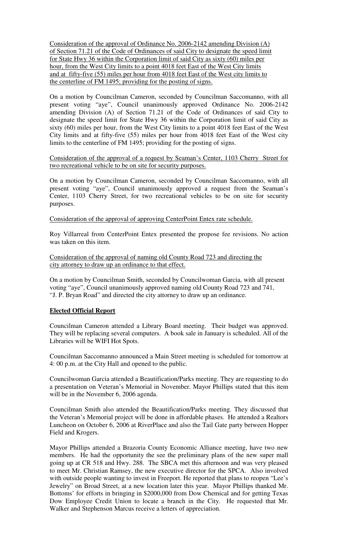Consideration of the approval of Ordinance No. 2006-2142 amending Division (A) of Section 71.21 of the Code of Ordinances of said City to designate the speed limit for State Hwy 36 within the Corporation limit of said City as sixty (60) miles per hour, from the West City limits to a point 4018 feet East of the West City limits and at fifty-five (55) miles per hour from 4018 feet East of the West city limits to the centerline of FM 1495; providing for the posting of signs.

On a motion by Councilman Cameron, seconded by Councilman Saccomanno, with all present voting "aye", Council unanimously approved Ordinance No. 2006-2142 amending Division (A) of Section 71.21 of the Code of Ordinances of said City to designate the speed limit for State Hwy 36 within the Corporation limit of said City as sixty (60) miles per hour, from the West City limits to a point 4018 feet East of the West City limits and at fifty-five (55) miles per hour from 4018 feet East of the West city limits to the centerline of FM 1495; providing for the posting of signs.

Consideration of the approval of a request by Seaman's Center, 1103 Cherry Street for two recreational vehicle to be on site for security purposes.

On a motion by Councilman Cameron, seconded by Councilman Saccomanno, with all present voting "aye", Council unanimously approved a request from the Seaman's Center, 1103 Cherry Street, for two recreational vehicles to be on site for security purposes.

Consideration of the approval of approving CenterPoint Entex rate schedule.

Roy Villarreal from CenterPoint Entex presented the propose fee revisions. No action was taken on this item.

Consideration of the approval of naming old County Road 723 and directing the city attorney to draw up an ordinance to that effect.

On a motion by Councilman Smith, seconded by Councilwoman Garcia, with all present voting "aye", Council unanimously approved naming old County Road 723 and 741, "J. P. Bryan Road" and directed the city attorney to draw up an ordinance.

# **Elected Official Report**

Councilman Cameron attended a Library Board meeting. Their budget was approved. They will be replacing several computers. A book sale in January is scheduled. All of the Libraries will be WIFI Hot Spots.

Councilman Saccomanno announced a Main Street meeting is scheduled for tomorrow at 4: 00 p.m. at the City Hall and opened to the public.

Councilwoman Garcia attended a Beautification/Parks meeting. They are requesting to do a presentation on Veteran's Memorial in November. Mayor Phillips stated that this item will be in the November 6, 2006 agenda.

Councilman Smith also attended the Beautification/Parks meeting. They discussed that the Veteran's Memorial project will be done in affordable phases. He attended a Realtors Luncheon on October 6, 2006 at RiverPlace and also the Tail Gate party between Hopper Field and Krogers.

Mayor Phillips attended a Brazoria County Economic Alliance meeting, have two new members. He had the opportunity the see the preliminary plans of the new super mall going up at CR 518 and Hwy. 288. The SBCA met this afternoon and was very pleased to meet Mr. Christian Ramsey, the new executive director for the SPCA. Also involved with outside people wanting to invest in Freeport. He reported that plans to reopen "Lee's Jewelry" on Broad Street, at a new location later this year. Mayor Phillips thanked Mr. Bottoms' for efforts in bringing in \$2000,000 from Dow Chemical and for getting Texas Dow Employee Credit Union to locate a branch in the City. He requested that Mr. Walker and Stephenson Marcus receive a letters of appreciation.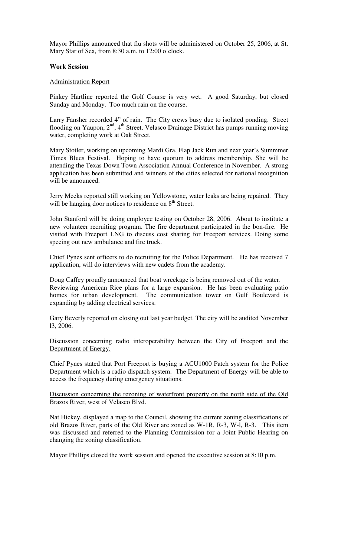Mayor Phillips announced that flu shots will be administered on October 25, 2006, at St. Mary Star of Sea, from 8:30 a.m. to 12:00 o'clock.

# **Work Session**

#### Administration Report

Pinkey Hartline reported the Golf Course is very wet. A good Saturday, but closed Sunday and Monday. Too much rain on the course.

Larry Fansher recorded 4" of rain. The City crews busy due to isolated ponding. Street flooding on Yaupon, 2<sup>nd</sup>, 4<sup>th</sup> Street. Velasco Drainage District has pumps running moving water, completing work at Oak Street.

Mary Stotler, working on upcoming Mardi Gra, Flap Jack Run and next year's Summmer Times Blues Festival. Hoping to have quorum to address membership. She will be attending the Texas Down Town Association Annual Conference in November. A strong application has been submitted and winners of the cities selected for national recognition will be announced.

Jerry Meeks reported still working on Yellowstone, water leaks are being repaired. They will be hanging door notices to residence on 8<sup>th</sup> Street.

John Stanford will be doing employee testing on October 28, 2006. About to institute a new volunteer recruiting program. The fire department participated in the bon-fire. He visited with Freeport LNG to discuss cost sharing for Freeport services. Doing some specing out new ambulance and fire truck.

Chief Pynes sent officers to do recruiting for the Police Department. He has received 7 application, will do interviews with new cadets from the academy.

Doug Caffey proudly announced that boat wreckage is being removed out of the water. Reviewing American Rice plans for a large expansion. He has been evaluating patio homes for urban development. The communication tower on Gulf Boulevard is expanding by adding electrical services.

Gary Beverly reported on closing out last year budget. The city will be audited November l3, 2006.

Discussion concerning radio interoperability between the City of Freeport and the Department of Energy.

Chief Pynes stated that Port Freeport is buying a ACU1000 Patch system for the Police Department which is a radio dispatch system. The Department of Energy will be able to access the frequency during emergency situations.

### Discussion concerning the rezoning of waterfront property on the north side of the Old Brazos River, west of Velasco Blvd.

Nat Hickey, displayed a map to the Council, showing the current zoning classifications of old Brazos River, parts of the Old River are zoned as W-1R, R-3, W-l, R-3. This item was discussed and referred to the Planning Commission for a Joint Public Hearing on changing the zoning classification.

Mayor Phillips closed the work session and opened the executive session at 8:10 p.m.